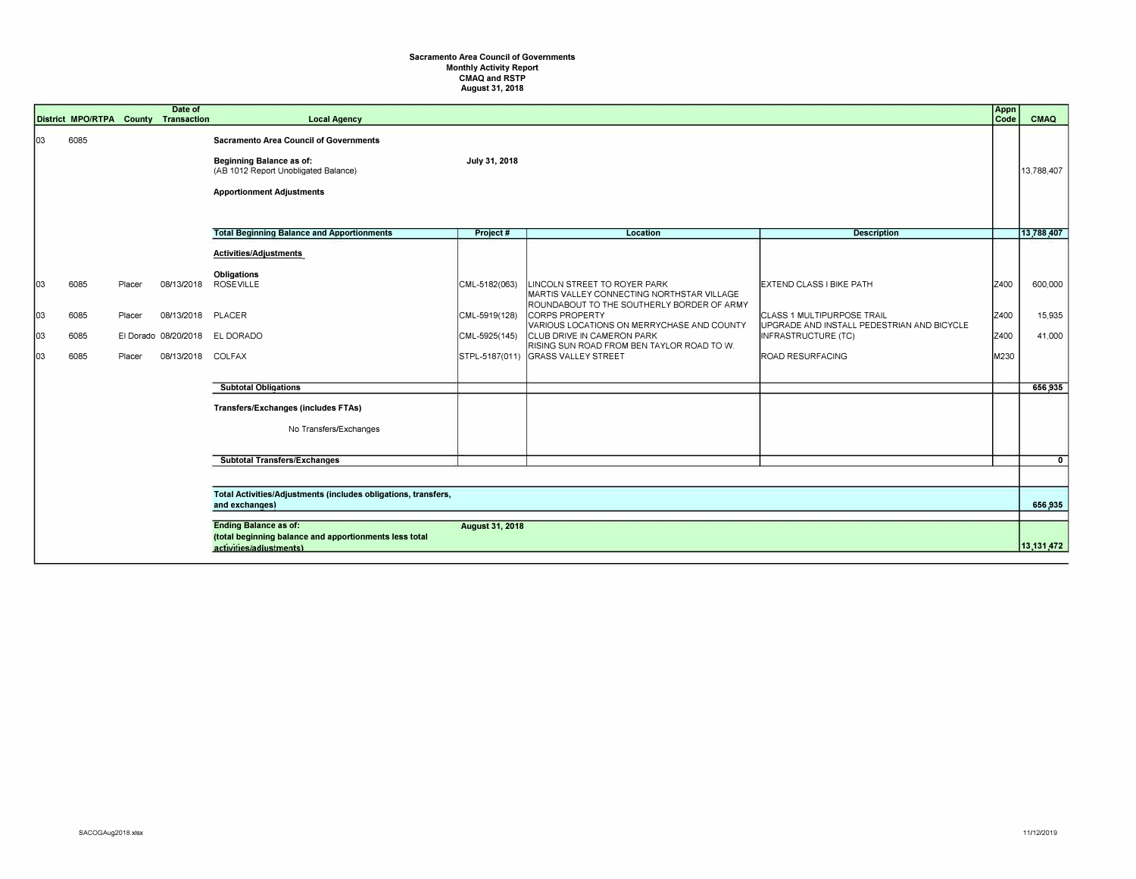## **Sacramento Area Council of Governments Monthly Activity Report CMAQ and RSTP August 31, 2018**

|                        | District MPO/RTPA County     |                            | Date of<br>Transaction                                                | <b>Local Agency</b>                                                                                                                                          |                                                 |                                                                                                                                                                                                                                                                                                                          |                                                                                                                                                               | Appn<br>Code                 | CMAQ                                   |
|------------------------|------------------------------|----------------------------|-----------------------------------------------------------------------|--------------------------------------------------------------------------------------------------------------------------------------------------------------|-------------------------------------------------|--------------------------------------------------------------------------------------------------------------------------------------------------------------------------------------------------------------------------------------------------------------------------------------------------------------------------|---------------------------------------------------------------------------------------------------------------------------------------------------------------|------------------------------|----------------------------------------|
| 03                     | 6085                         |                            |                                                                       | <b>Sacramento Area Council of Governments</b><br><b>Beginning Balance as of:</b><br>(AB 1012 Report Unobligated Balance)<br><b>Apportionment Adjustments</b> | July 31, 2018                                   |                                                                                                                                                                                                                                                                                                                          |                                                                                                                                                               |                              | 13.788.407                             |
|                        |                              |                            |                                                                       | <b>Total Beginning Balance and Apportionments</b>                                                                                                            | Project#                                        | Location                                                                                                                                                                                                                                                                                                                 | <b>Description</b>                                                                                                                                            |                              | 13.788.407                             |
| 03<br> 03<br> 03<br>03 | 6085<br>6085<br>6085<br>6085 | Placer<br>Placer<br>Placer | 08/13/2018<br>08/13/2018<br>El Dorado 08/20/2018<br>08/13/2018 COLFAX | Activities/Adjustments<br>Obligations<br><b>ROSEVILLE</b><br><b>PLACER</b><br>EL DORADO<br><b>Subtotal Obligations</b>                                       | CML-5182(063)<br>CML-5919(128)<br>CML-5925(145) | LINCOLN STREET TO ROYER PARK<br>MARTIS VALLEY CONNECTING NORTHSTAR VILLAGE<br>ROUNDABOUT TO THE SOUTHERLY BORDER OF ARMY<br><b>CORPS PROPERTY</b><br>VARIOUS LOCATIONS ON MERRYCHASE AND COUNTY<br><b>CLUB DRIVE IN CAMERON PARK</b><br>RISING SUN ROAD FROM BEN TAYLOR ROAD TO W.<br>STPL-5187(011) GRASS VALLEY STREET | <b>EXTEND CLASS I BIKE PATH</b><br><b>CLASS 1 MULTIPURPOSE TRAIL</b><br>UPGRADE AND INSTALL PEDESTRIAN AND BICYCLE<br>INFRASTRUCTURE (TC)<br>ROAD RESURFACING | Z400<br>Z400<br>Z400<br>M230 | 600,000<br>15,935<br>41,000<br>656,935 |
|                        |                              |                            |                                                                       | <b>Transfers/Exchanges (includes FTAs)</b>                                                                                                                   |                                                 |                                                                                                                                                                                                                                                                                                                          |                                                                                                                                                               |                              |                                        |
|                        |                              |                            |                                                                       | No Transfers/Exchanges                                                                                                                                       |                                                 |                                                                                                                                                                                                                                                                                                                          |                                                                                                                                                               |                              |                                        |
|                        |                              |                            |                                                                       | <b>Subtotal Transfers/Exchanges</b>                                                                                                                          |                                                 |                                                                                                                                                                                                                                                                                                                          |                                                                                                                                                               |                              | $\mathbf{0}$                           |
|                        |                              |                            |                                                                       |                                                                                                                                                              |                                                 |                                                                                                                                                                                                                                                                                                                          |                                                                                                                                                               |                              |                                        |
|                        |                              |                            |                                                                       | Total Activities/Adjustments (includes obligations, transfers,<br>and exchanges)                                                                             |                                                 |                                                                                                                                                                                                                                                                                                                          |                                                                                                                                                               |                              |                                        |
|                        |                              |                            |                                                                       | <b>Ending Balance as of:</b><br><b>August 31, 2018</b><br>(total beginning balance and apportionments less total<br>activities/adjustments)                  |                                                 |                                                                                                                                                                                                                                                                                                                          |                                                                                                                                                               |                              |                                        |